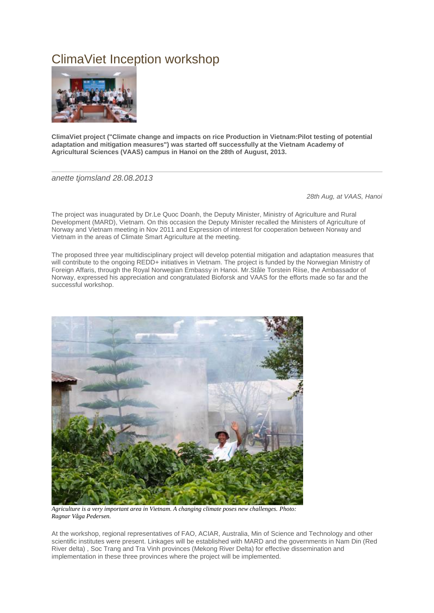## ClimaViet Inception workshop



**ClimaViet project ("Climate change and impacts on rice Production in Vietnam:Pilot testing of potential adaptation and mitigation measures") was started off successfully at the Vietnam Academy of Agricultural Sciences (VAAS) campus in Hanoi on the 28th of August, 2013.**

*anette tjomsland 28.08.2013*

*28th Aug, at VAAS, Hanoi*

The project was inuagurated by Dr.Le Quoc Doanh, the Deputy Minister, Ministry of Agriculture and Rural Development (MARD), Vietnam. On this occasion the Deputy Minister recalled the Ministers of Agriculture of Norway and Vietnam meeting in Nov 2011 and Expression of interest for cooperation between Norway and Vietnam in the areas of Climate Smart Agriculture at the meeting.

The proposed three year multidisciplinary project will develop potential mitigation and adaptation measures that will contribute to the ongoing REDD+ initiatives in Vietnam. The project is funded by the Norwegian Ministry of Foreign Affaris, through the Royal Norwegian Embassy in Hanoi. Mr.Ståle Torstein Riise, the Ambassador of Norway, expressed his appreciation and congratulated Bioforsk and VAAS for the efforts made so far and the successful workshop.



*Agriculture is a very important area in Vietnam. A changing climate poses new challenges. Photo: Ragnar Våga Pedersen.*

At the workshop, regional representatives of FAO, ACIAR, Australia, Min of Science and Technology and other scientific institutes were present. Linkages will be established with MARD and the governments in Nam Din (Red River delta) , Soc Trang and Tra Vinh provinces (Mekong River Delta) for effective dissemination and implementation in these three provinces where the project will be implemented.